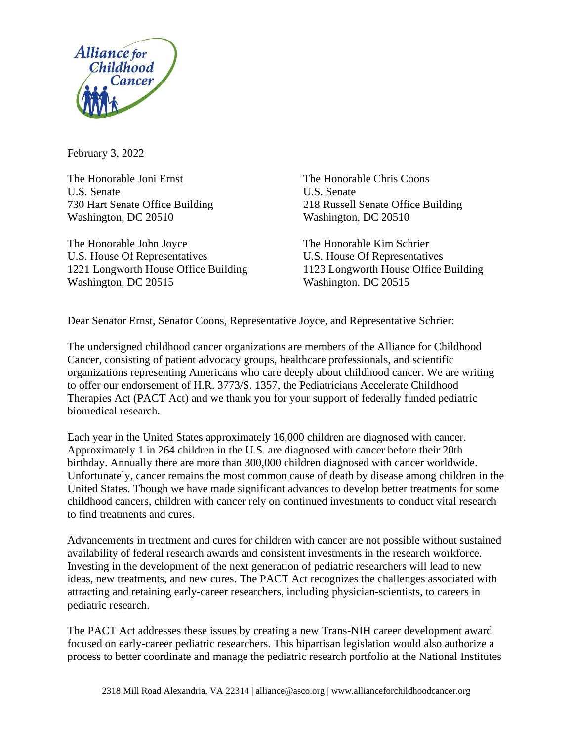

February 3, 2022

The Honorable Joni Ernst The Honorable Chris Coons U.S. Senate U.S. Senate Washington, DC 20510 Washington, DC 20510

The Honorable John Joyce The Honorable Kim Schrier U.S. House Of Representatives U.S. House Of Representatives Washington, DC 20515 Washington, DC 20515

730 Hart Senate Office Building 218 Russell Senate Office Building

1221 Longworth House Office Building 1123 Longworth House Office Building

Dear Senator Ernst, Senator Coons, Representative Joyce, and Representative Schrier:

The undersigned childhood cancer organizations are members of the Alliance for Childhood Cancer, consisting of patient advocacy groups, healthcare professionals, and scientific organizations representing Americans who care deeply about childhood cancer. We are writing to offer our endorsement of H.R. 3773/S. 1357, the Pediatricians Accelerate Childhood Therapies Act (PACT Act) and we thank you for your support of federally funded pediatric biomedical research.

Each year in the United States approximately 16,000 children are diagnosed with cancer. Approximately 1 in 264 children in the U.S. are diagnosed with cancer before their 20th birthday. Annually there are more than 300,000 children diagnosed with cancer worldwide. Unfortunately, cancer remains the most common cause of death by disease among children in the United States. Though we have made significant advances to develop better treatments for some childhood cancers, children with cancer rely on continued investments to conduct vital research to find treatments and cures.

Advancements in treatment and cures for children with cancer are not possible without sustained availability of federal research awards and consistent investments in the research workforce. Investing in the development of the next generation of pediatric researchers will lead to new ideas, new treatments, and new cures. The PACT Act recognizes the challenges associated with attracting and retaining early-career researchers, including physician-scientists, to careers in pediatric research.

The PACT Act addresses these issues by creating a new Trans-NIH career development award focused on early-career pediatric researchers. This bipartisan legislation would also authorize a process to better coordinate and manage the pediatric research portfolio at the National Institutes